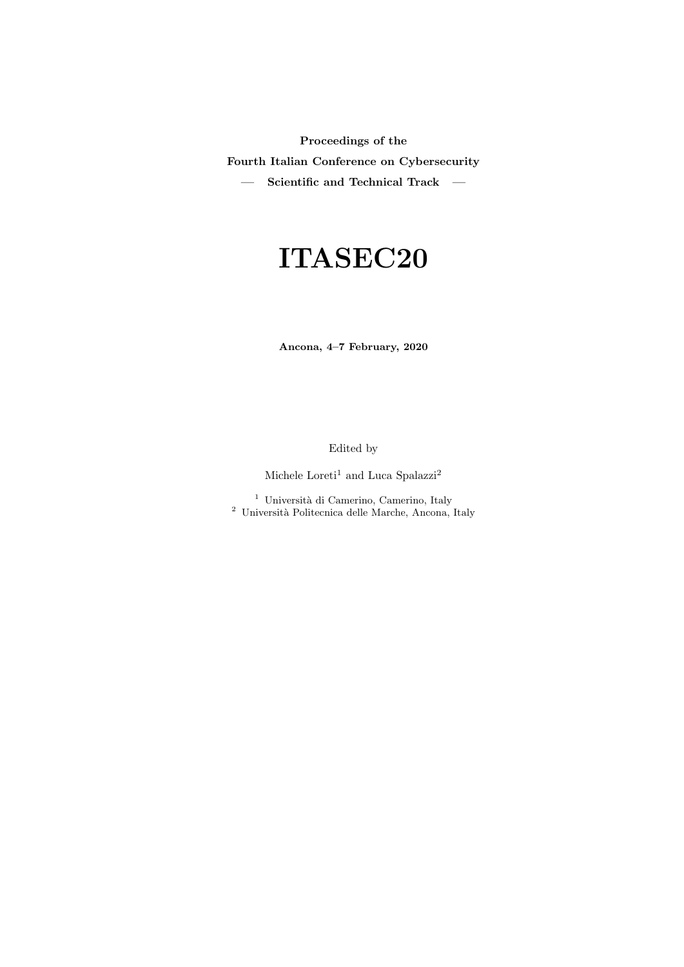Proceedings of the

Fourth Italian Conference on Cybersecurity

 $-$  Scientific and Technical Track  $-$ 

# ITASEC20

Ancona, 4–7 February, 2020

Edited by

Michele  $\mathrm{Loreti}^1$  and  $\mathrm{Luca}$   $\mathrm{Spalazzi}^2$ 

<sup>1</sup> Università di Camerino, Camerino, Italy <sup>2</sup> Università Politecnica delle Marche, Ancona, Italy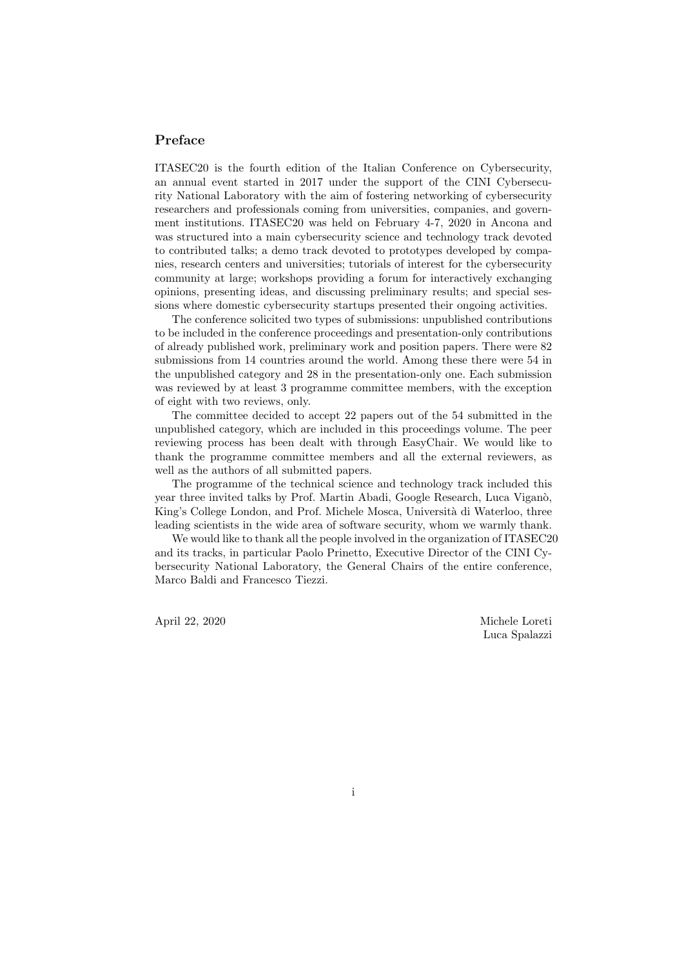#### Preface

ITASEC20 is the fourth edition of the Italian Conference on Cybersecurity, an annual event started in 2017 under the support of the CINI Cybersecurity National Laboratory with the aim of fostering networking of cybersecurity researchers and professionals coming from universities, companies, and government institutions. ITASEC20 was held on February 4-7, 2020 in Ancona and was structured into a main cybersecurity science and technology track devoted to contributed talks; a demo track devoted to prototypes developed by companies, research centers and universities; tutorials of interest for the cybersecurity community at large; workshops providing a forum for interactively exchanging opinions, presenting ideas, and discussing preliminary results; and special sessions where domestic cybersecurity startups presented their ongoing activities.

The conference solicited two types of submissions: unpublished contributions to be included in the conference proceedings and presentation-only contributions of already published work, preliminary work and position papers. There were 82 submissions from 14 countries around the world. Among these there were 54 in the unpublished category and 28 in the presentation-only one. Each submission was reviewed by at least 3 programme committee members, with the exception of eight with two reviews, only.

The committee decided to accept 22 papers out of the 54 submitted in the unpublished category, which are included in this proceedings volume. The peer reviewing process has been dealt with through EasyChair. We would like to thank the programme committee members and all the external reviewers, as well as the authors of all submitted papers.

The programme of the technical science and technology track included this year three invited talks by Prof. Martin Abadi, Google Research, Luca Viganò, King's College London, and Prof. Michele Mosca, Università di Waterloo, three leading scientists in the wide area of software security, whom we warmly thank.

We would like to thank all the people involved in the organization of ITASEC20 and its tracks, in particular Paolo Prinetto, Executive Director of the CINI Cybersecurity National Laboratory, the General Chairs of the entire conference, Marco Baldi and Francesco Tiezzi.

April 22, 2020 Michele Loreti Luca Spalazzi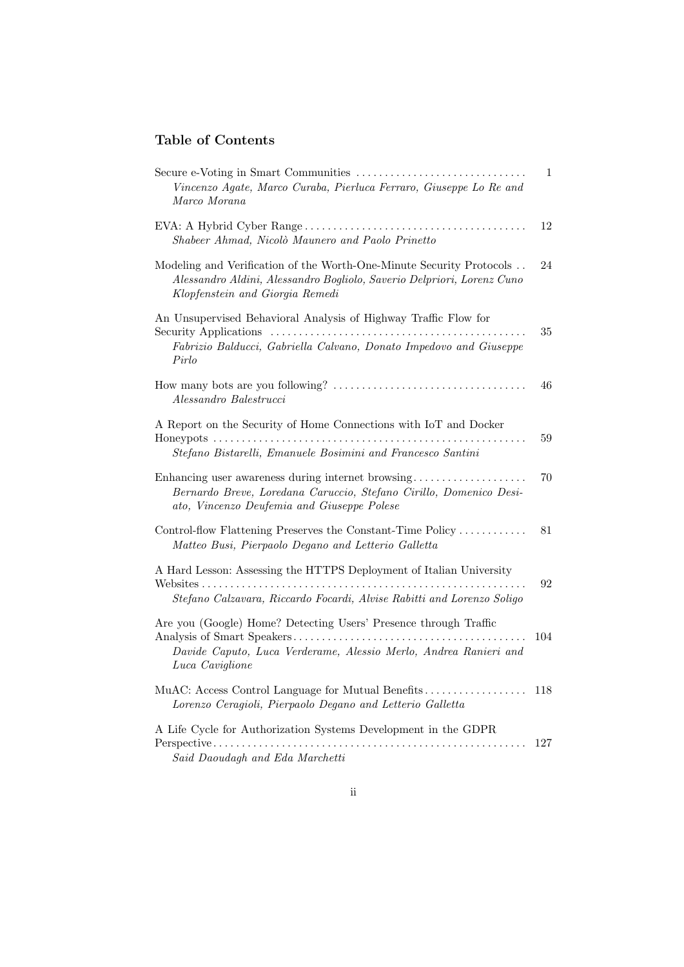### Table of Contents

| Vincenzo Agate, Marco Curaba, Pierluca Ferraro, Giuseppe Lo Re and<br>Marco Morana                                                                                                | 1   |
|-----------------------------------------------------------------------------------------------------------------------------------------------------------------------------------|-----|
| Shabeer Ahmad, Nicolò Maunero and Paolo Prinetto                                                                                                                                  | 12  |
| Modeling and Verification of the Worth-One-Minute Security Protocols<br>Alessandro Aldini, Alessandro Bogliolo, Saverio Delpriori, Lorenz Cuno<br>Klopfenstein and Giorgia Remedi | 24  |
| An Unsupervised Behavioral Analysis of Highway Traffic Flow for<br>Fabrizio Balducci, Gabriella Calvano, Donato Impedovo and Giuseppe                                             | 35  |
| Pirlo                                                                                                                                                                             |     |
| Alessandro Balestrucci                                                                                                                                                            | 46  |
| A Report on the Security of Home Connections with IoT and Docker<br>Stefano Bistarelli, Emanuele Bosimini and Francesco Santini                                                   | 59  |
| Enhancing user awareness during internet browsing<br>Bernardo Breve, Loredana Caruccio, Stefano Cirillo, Domenico Desi-<br>ato, Vincenzo Deufemia and Giuseppe Polese             | 70  |
| Control-flow Flattening Preserves the Constant-Time Policy<br>Matteo Busi, Pierpaolo Degano and Letterio Galletta                                                                 | 81  |
| A Hard Lesson: Assessing the HTTPS Deployment of Italian University<br>Stefano Calzavara, Riccardo Focardi, Alvise Rabitti and Lorenzo Soligo                                     | 92  |
| Are you (Google) Home? Detecting Users' Presence through Traffic<br>Davide Caputo, Luca Verderame, Alessio Merlo, Andrea Ranieri and<br>Luca Caviglione                           | 104 |
| Lorenzo Ceragioli, Pierpaolo Degano and Letterio Galletta                                                                                                                         | 118 |
| A Life Cycle for Authorization Systems Development in the GDPR<br>Said Daoudagh and Eda Marchetti                                                                                 | 127 |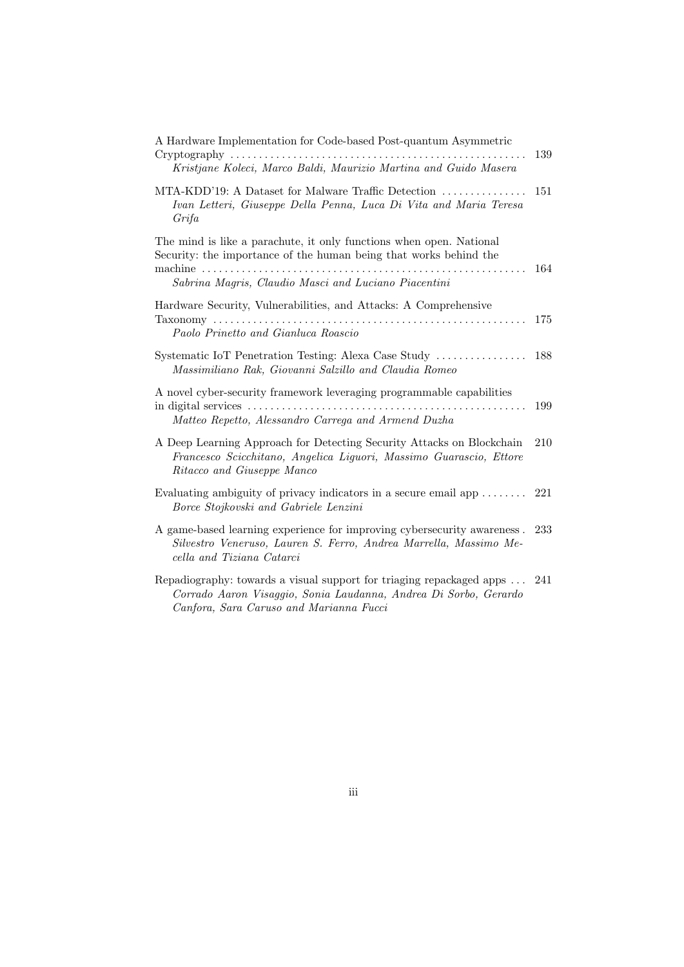| A Hardware Implementation for Code-based Post-quantum Asymmetric<br>$Cryptography \ldots \ldots \ldots \ldots$<br>Kristjane Koleci, Marco Baldi, Maurizio Martina and Guido Masera                    | 139 |
|-------------------------------------------------------------------------------------------------------------------------------------------------------------------------------------------------------|-----|
| MTA-KDD'19: A Dataset for Malware Traffic Detection<br>Ivan Letteri, Giuseppe Della Penna, Luca Di Vita and Maria Teresa<br>Grifa                                                                     | 151 |
| The mind is like a parachute, it only functions when open. National<br>Security: the importance of the human being that works behind the<br>.<br>Sabrina Magris, Claudio Masci and Luciano Piacentini | 164 |
| Hardware Security, Vulnerabilities, and Attacks: A Comprehensive<br>Paolo Prinetto and Gianluca Roascio                                                                                               | 175 |
| Systematic IoT Penetration Testing: Alexa Case Study<br>Massimiliano Rak, Giovanni Salzillo and Claudia Romeo                                                                                         | 188 |
| A novel cyber-security framework leveraging programmable capabilities<br>Matteo Repetto, Alessandro Carrega and Armend Duzha                                                                          | 199 |
| A Deep Learning Approach for Detecting Security Attacks on Blockchain<br>Francesco Scicchitano, Angelica Liguori, Massimo Guarascio, Ettore<br>Ritacco and Giuseppe Manco                             | 210 |
| Evaluating ambiguity of privacy indicators in a secure email app $\dots\dots$<br>Borce Stojkovski and Gabriele Lenzini                                                                                | 221 |
| A game-based learning experience for improving cybersecurity awareness.<br>Silvestro Veneruso, Lauren S. Ferro, Andrea Marrella, Massimo Me-<br>cella and Tiziana Catarci                             | 233 |
| Repadiography: towards a visual support for triaging repackaged apps<br>Corrado Aaron Visaggio, Sonia Laudanna, Andrea Di Sorbo, Gerardo<br>Canfora, Sara Caruso and Marianna Fucci                   | 241 |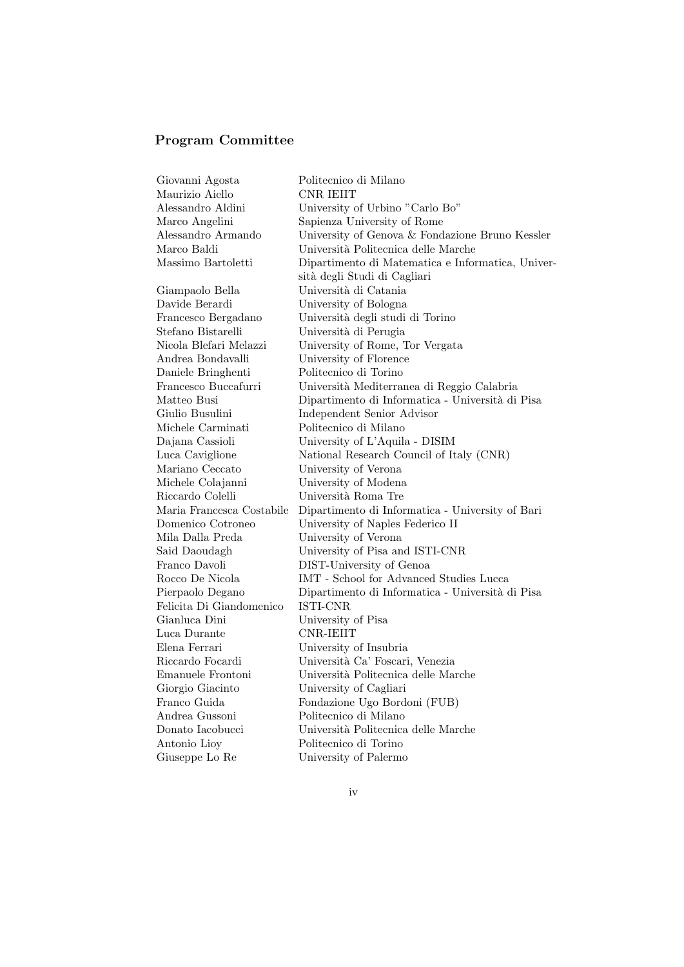## Program Committee

| Giovanni Agosta           | Politecnico di Milano                             |
|---------------------------|---------------------------------------------------|
| Maurizio Aiello           | CNR IEIIT                                         |
| Alessandro Aldini         | University of Urbino "Carlo Bo"                   |
| Marco Angelini            | Sapienza University of Rome                       |
| Alessandro Armando        | University of Genova & Fondazione Bruno Kessler   |
| Marco Baldi               | Università Politecnica delle Marche               |
| Massimo Bartoletti        | Dipartimento di Matematica e Informatica, Univer- |
|                           | sità degli Studi di Cagliari                      |
| Giampaolo Bella           | Università di Catania                             |
| Davide Berardi            | University of Bologna                             |
| Francesco Bergadano       | Università degli studi di Torino                  |
| Stefano Bistarelli        | Università di Perugia                             |
| Nicola Blefari Melazzi    | University of Rome, Tor Vergata                   |
| Andrea Bondavalli         | University of Florence                            |
| Daniele Bringhenti        | Politecnico di Torino                             |
| Francesco Buccafurri      | Università Mediterranea di Reggio Calabria        |
| Matteo Busi               | Dipartimento di Informatica - Università di Pisa  |
| Giulio Busulini           | Independent Senior Advisor                        |
| Michele Carminati         | Politecnico di Milano                             |
| Dajana Cassioli           | University of L'Aquila - DISIM                    |
| Luca Caviglione           | National Research Council of Italy (CNR)          |
| Mariano Ceccato           | University of Verona                              |
| Michele Colajanni         | University of Modena                              |
| Riccardo Colelli          | Università Roma Tre                               |
| Maria Francesca Costabile | Dipartimento di Informatica - University of Bari  |
| Domenico Cotroneo         | University of Naples Federico II                  |
| Mila Dalla Preda          | University of Verona                              |
| Said Daoudagh             | University of Pisa and ISTI-CNR                   |
| Franco Davoli             | DIST-University of Genoa                          |
| Rocco De Nicola           | IMT - School for Advanced Studies Lucca           |
| Pierpaolo Degano          | Dipartimento di Informatica - Università di Pisa  |
| Felicita Di Giandomenico  | ISTI-CNR                                          |
| Gianluca Dini             | University of Pisa                                |
| Luca Durante              | CNR-IEIIT                                         |
| Elena Ferrari             | University of Insubria                            |
| Riccardo Focardi          | Università Ca' Foscari, Venezia                   |
| Emanuele Frontoni         | Università Politecnica delle Marche               |
| Giorgio Giacinto          | University of Cagliari                            |
| Franco Guida              | Fondazione Ugo Bordoni (FUB)                      |
| Andrea Gussoni            | Politecnico di Milano                             |
| Donato Iacobucci          | Università Politecnica delle Marche               |
| Antonio Lioy              | Politecnico di Torino                             |
| Giuseppe Lo Re            | University of Palermo                             |
|                           |                                                   |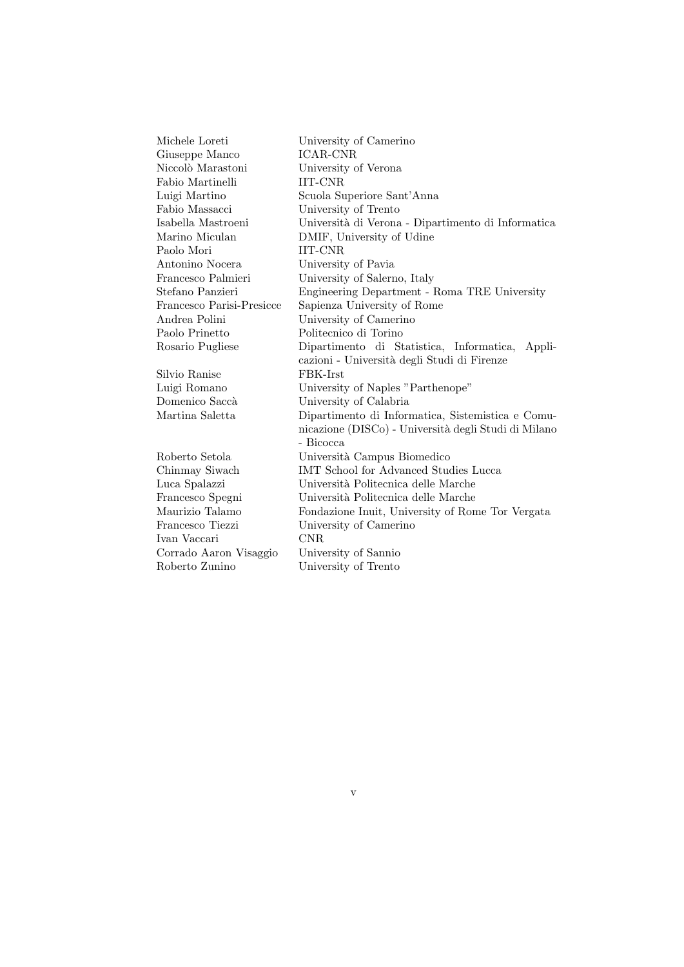Michele Loreti University of Camerino Giuseppe Manco ICAR-CNR Niccolò Marastoni University of Verona Fabio Martinelli IIT-CNR Luigi Martino Scuola Superiore Sant'Anna Fabio Massacci University of Trento Isabella Mastroeni Universit`a di Verona - Dipartimento di Informatica Marino Miculan DMIF, University of Udine Paolo Mori **IIT-CNR** Antonino Nocera University of Pavia Francesco Palmieri University of Salerno, Italy Stefano Panzieri Engineering Department - Roma TRE University Francesco Parisi-Presicce Sapienza University of Rome Andrea Polini University of Camerino Paolo Prinetto Politecnico di Torino Rosario Pugliese Dipartimento di Statistica, Informatica, Applicazioni - Universit`a degli Studi di Firenze Silvio Ranise FBK-Irst Luigi Romano University of Naples "Parthenope" Domenico Saccà University of Calabria Martina Saletta Dipartimento di Informatica, Sistemistica e Comunicazione (DISCo) - Universit`a degli Studi di Milano - Bicocca Roberto Setola Università Campus Biomedico Chinmay Siwach IMT School for Advanced Studies Lucca Luca Spalazzi Università Politecnica delle Marche Francesco Spegni Università Politecnica delle Marche Maurizio Talamo Fondazione Inuit, University of Rome Tor Vergata Francesco Tiezzi University of Camerino Ivan Vaccari CNR Corrado Aaron Visaggio University of Sannio Roberto Zunino University of Trento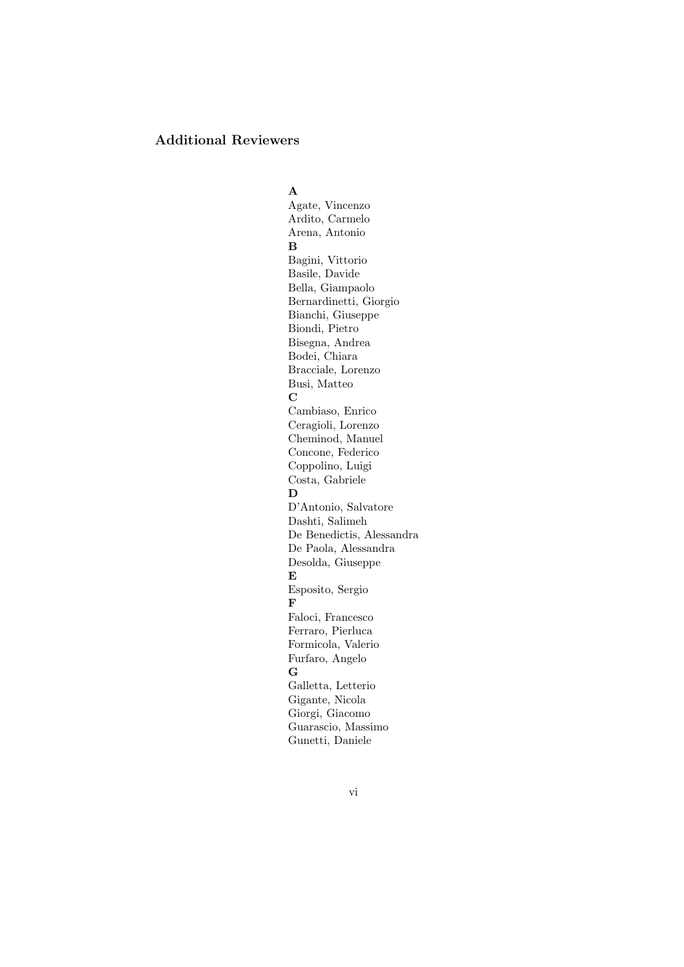### Additional Reviewers

A Agate, Vincenzo Ardito, Carmelo Arena, Antonio B Bagini, Vittorio Basile, Davide Bella, Giampaolo Bernardinetti, Giorgio Bianchi, Giuseppe Biondi, Pietro Bisegna, Andrea Bodei, Chiara Bracciale, Lorenzo Busi, Matteo  $\overline{C}$ Cambiaso, Enrico Ceragioli, Lorenzo Cheminod, Manuel Concone, Federico Coppolino, Luigi Costa, Gabriele D D'Antonio, Salvatore Dashti, Salimeh De Benedictis, Alessandra De Paola, Alessandra Desolda, Giuseppe E Esposito, Sergio F Faloci, Francesco Ferraro, Pierluca Formicola, Valerio Furfaro, Angelo G Galletta, Letterio Gigante, Nicola Giorgi, Giacomo Guarascio, Massimo Gunetti, Daniele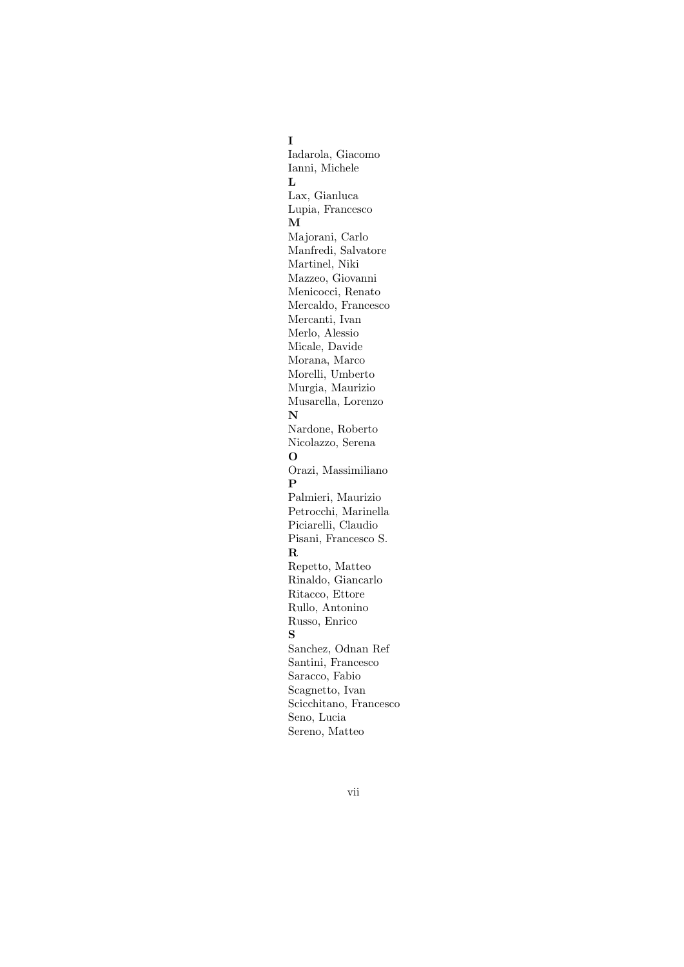### I

Iadarola, Giacomo Ianni, Michele  $\mathbf L$ Lax, Gianluca Lupia, Francesco M Majorani, Carlo Manfredi, Salvatore Martinel, Niki Mazzeo, Giovanni Menicocci, Renato Mercaldo, Francesco Mercanti, Ivan Merlo, Alessio Micale, Davide Morana, Marco Morelli, Umberto Murgia, Maurizio Musarella, Lorenzo N Nardone, Roberto Nicolazzo, Serena O Orazi, Massimiliano P Palmieri, Maurizio Petrocchi, Marinella Piciarelli, Claudio Pisani, Francesco S. R Repetto, Matteo Rinaldo, Giancarlo Ritacco, Ettore Rullo, Antonino Russo, Enrico S Sanchez, Odnan Ref Santini, Francesco Saracco, Fabio Scagnetto, Ivan Scicchitano, Francesco Seno, Lucia Sereno, Matteo